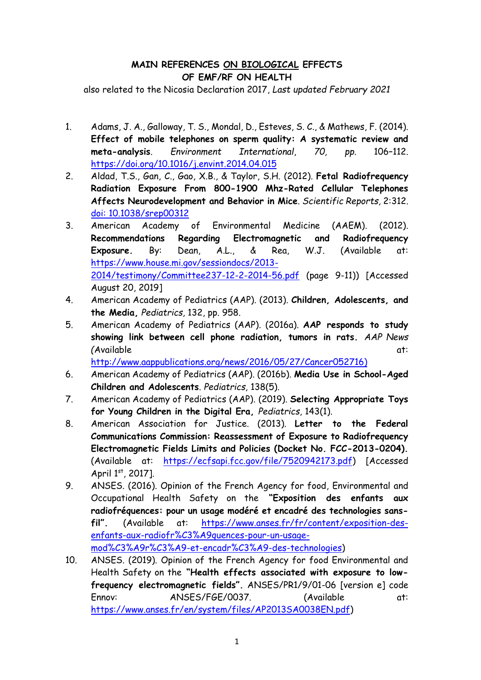## **MAIN REFERENCES ΟΝ BIOLOGICAL EFFECTS OF EMF/RF ON HEALTH**

also related to the Nicosia Declaration 2017, *Last updated February 2021*

- 1. Adams, J. A., Galloway, T. S., Mondal, D., Esteves, S. C., & Mathews, F. (2014). **Effect of mobile telephones on sperm quality: A systematic review and meta-analysis**. *Environment International*, *70, pp.* 106–112. <https://doi.org/10.1016/j.envint.2014.04.015>
- 2. Aldad, T.S., Gan, C., Gao, X.B., & Taylor, S.H. (2012). **Fetal Radiofrequency Radiation Exposure From 800-1900 Mhz-Rated Cellular Telephones Affects Neurodevelopment and Behavior in Mice**. *[Scientific Repo](https://www.ncbi.nlm.nih.gov/pmc/articles/PMC3306017/)rts,* 2:312. [doi: 10.1038/srep00312](doi:%2010.1038/srep00312)
- 3. American Academy of Environmental Medicine (AAEM). (2012). **Recommendations Regarding Electromagnetic and Radiofrequency Exposure.** By: Dean, A.L., & Rea, W.J. (Available at: [https://www.house.mi.gov/sessiondocs/2013-](https://www.house.mi.gov/sessiondocs/2013-2014/testimony/Committee237-12-2-2014-56.pdf) [2014/testimony/Committee237-12-2-2014-56.pdf](https://www.house.mi.gov/sessiondocs/2013-2014/testimony/Committee237-12-2-2014-56.pdf) (page 9-11)) [Accessed August 20, 2019]
- 4. American Academy of Pediatrics (AAP). (2013). **Children, Adolescents, and the Media,** *Pediatrics,* 132, pp. 958.
- 5. American Academy of Pediatrics (AAP). (2016a). **AAP responds to study showing link between cell phone radiation, tumors in rats.** *AAP News (*Available at:

[http://www.aappublications.org/news/2016/05/27/Cancer052716\)](http://www.aappublications.org/news/2016/05/27/Cancer052716)

- 6. American Academy of Pediatrics (AAP). (2016b). **Media Use in School-Aged Children and Adolescents**. *Pediatrics,* 138(5).
- 7. American Academy of Pediatrics (AAP). (2019). **Selecting Appropriate Toys for Young Children in the Digital Era,** *Pediatrics,* 143(1).
- 8. American Association for Justice. (2013). **Letter to the Federal Communications Commission: Reassessment of Exposure to Radiofrequency Electromagnetic Fields Limits and Policies (Docket No. FCC-2013-0204).** (Available at: [https://ecfsapi.fcc.gov/file/7520942173.pdf\)](https://ecfsapi.fcc.gov/file/7520942173.pdf) [Accessed April 1st, 2017].
- 9. ANSES. (2016). Opinion of the French Agency for food, Environmental and Occupational Health Safety on the **"Exposition des enfants aux radiofréquences: pour un usage modéré et encadré des technologies sansfil".** (Available at: [https://www.anses.fr/fr/content/exposition-des](https://www.anses.fr/fr/content/exposition-des-enfants-aux-radiofr%C3%A9quences-pour-un-usage-mod%C3%A9r%C3%A9-et-encadr%C3%A9-des-technologies)[enfants-aux-radiofr%C3%A9quences-pour-un-usage](https://www.anses.fr/fr/content/exposition-des-enfants-aux-radiofr%C3%A9quences-pour-un-usage-mod%C3%A9r%C3%A9-et-encadr%C3%A9-des-technologies)[mod%C3%A9r%C3%A9-et-encadr%C3%A9-des-technologies\)](https://www.anses.fr/fr/content/exposition-des-enfants-aux-radiofr%C3%A9quences-pour-un-usage-mod%C3%A9r%C3%A9-et-encadr%C3%A9-des-technologies)
- 10. ANSES. (2019). Opinion of the French Agency for food Environmental and Health Safety on the **"Health effects associated with exposure to lowfrequency electromagnetic fields".** ANSES/PR1/9/01-06 [version e] code Ennov: ANSES/FGE/0037. (Available at: [https://www.anses.fr/en/system/files/AP2013SA0038EN.pdf\)](https://www.anses.fr/en/system/files/AP2013SA0038EN.pdf)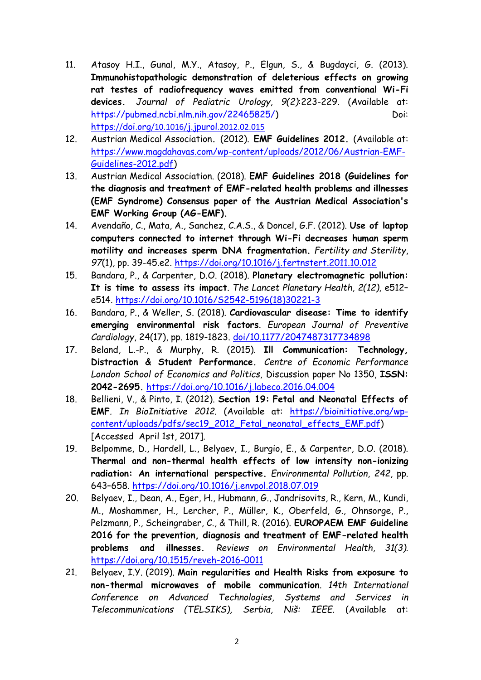- 11. Atasoy H.I., Gunal, M.Y., Atasoy, P., Elgun, S., & Bugdayci, G. (2013). **Immunohistopathologic demonstration of deleterious effects on growing rat testes of radiofrequency waves emitted from conventional Wi-Fi devices.** *Journal of Pediatric Urology*, *9(2)*:223-229. (Available at: [https://pubmed.ncbi.nlm.nih.gov/22465825/\)](https://pubmed.ncbi.nlm.nih.gov/22465825/) Doi: https://doi.org[/10.1016/](https://doi.org/10.1016/j.jpurol.2012.02.015)j.jpurol[.2012.02.015](https://doi.org/10.1016/j.jpurol.2012.02.015)
- 12. Austrian Medical Association**.** (2012). **EMF Guidelines 2012.** (Available at: [https://www.magdahavas.com/wp-content/uploads/2012/06/Austrian-EMF-](https://www.magdahavas.com/wp-content/uploads/2012/06/Austrian-EMF-Guidelines-2012.pdf)[Guidelines-2012.pdf\)](https://www.magdahavas.com/wp-content/uploads/2012/06/Austrian-EMF-Guidelines-2012.pdf)
- 13. Austrian Medical Association. (2018). **EMF Guidelines 2018 (Guidelines for the diagnosis and treatment of EMF-related health problems and illnesses (EMF Syndrome) Consensus paper of the Austrian Medical Association's EMF Working Group (AG-EMF).**
- 14. Avendaño, C., Mata, A., Sanchez, C.A.S., & Doncel, G.F. (2012). **Use of laptop computers connected to internet through Wi-Fi decreases human sperm motility and increases sperm DNA fragmentation.** *Fertility and Sterility*, *97*(1), pp. 39-45.e2.<https://doi.org/10.1016/j.fertnstert.2011.10.012>
- 15. Bandara, P., & Carpenter, D.O. (2018). **Planetary electromagnetic pollution: It is time to assess its impact**. *The Lancet Planetary Health, 2(12),* e512– e514. [https://doi.org/10.1016/S2542-5196\(18\)30221-3](https://doi.org/10.1016/S2542-5196(18)30221-3)
- 16. Bandara, P., & Weller, S. (2018). **Cardiovascular disease: Time to identify emerging environmental risk factors**. *European Journal of Preventive Cardiology*, 24(17), pp. 1819-1823. [doi/10.1177/2047487317734898](https://journals.sagepub.com/doi/10.1177/2047487317734898)
- 17. Beland, L.-P., & Murphy, R. (2015). **Ill Communication: Technology, Distraction & Student Performance.** *Centre of Economic Performance London School of Economics and Politics,* Discussion paper No 1350, **ISSN: 2042-2695.** <https://doi.org/10.1016/j.labeco.2016.04.004>
- 18. Bellieni, V., & Pinto, I. (2012). **Section 19: Fetal and Neonatal Effects of EMF***. In BioInitiative 2012.* (Available at: [https://bioinitiative.org/wp](https://bioinitiative.org/wp-content/uploads/pdfs/sec19_2012_Fetal_neonatal_effects_EMF.pdf)[content/uploads/pdfs/sec19\\_2012\\_Fetal\\_neonatal\\_effects\\_EMF.pdf\)](https://bioinitiative.org/wp-content/uploads/pdfs/sec19_2012_Fetal_neonatal_effects_EMF.pdf) [Accessed April 1st, 2017].
- 19. Belpomme, D., Hardell, L., Belyaev, I., Burgio, E., & Carpenter, D.O. (2018). **Thermal and non-thermal health effects of low intensity non-ionizing radiation: An international perspective.** *Environmental Pollution*, *242*, pp. 643–658.<https://doi.org/10.1016/j.envpol.2018.07.019>
- 20. Belyaev, I., Dean, A., Eger, H., Hubmann, G., Jandrisovits, R., Kern, M., Kundi, M., Moshammer, H., Lercher, P., Müller, K., Oberfeld, G., Ohnsorge, P., Pelzmann, P., Scheingraber, C., & Thill, R. (2016). **EUROPAEM EMF Guideline 2016 for the prevention, diagnosis and treatment of EMF-related health problems and illnesses.** *Reviews on Environmental Health, 31(3).* <https://doi.org/10.1515/reveh-2016-0011>
- 21. Belyaev, I.Y. (2019). **Main regularities and Health Risks from exposure to non-thermal microwaves of mobile communication**. *14th International Conference on Advanced Technologies, Systems and Services in Telecommunications (TELSIKS), Serbia, Niš: IEEE.* (Available at: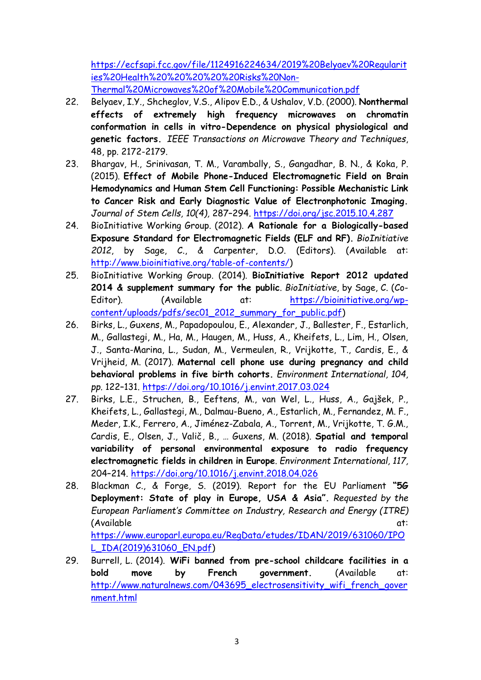[https://ecfsapi.fcc.gov/file/1124916224634/2019%20Belyaev%20Regularit](https://ecfsapi.fcc.gov/file/1124916224634/2019%20Belyaev%20Regularities%20Health%20%20%20%20%20Risks%20Non-Thermal%20Microwaves%20of%20Mobile%20Communication.pdf) [ies%20Health%20%20%20%20%20Risks%20Non-](https://ecfsapi.fcc.gov/file/1124916224634/2019%20Belyaev%20Regularities%20Health%20%20%20%20%20Risks%20Non-Thermal%20Microwaves%20of%20Mobile%20Communication.pdf)[Thermal%20Microwaves%20of%20Mobile%20Communication.pdf](https://ecfsapi.fcc.gov/file/1124916224634/2019%20Belyaev%20Regularities%20Health%20%20%20%20%20Risks%20Non-Thermal%20Microwaves%20of%20Mobile%20Communication.pdf)

- 22. Belyaev, I.Y., Shcheglov, V.S., Alipov E.D., & Ushalov, V.D. (2000). **Nonthermal effects of extremely high frequency microwaves on chromatin conformation in cells in vitro-Dependence on physical physiological and genetic factors.** *IEEE Transactions on Microwave Theory and Techniques*, 48, pp. 2172-2179.
- 23. Bhargav, H., Srinivasan, T. M., Varambally, S., Gangadhar, B. N., & Koka, P. (2015). **Effect of Mobile Phone-Induced Electromagnetic Field on Brain Hemodynamics and Human Stem Cell Functioning: Possible Mechanistic Link to Cancer Risk and Early Diagnostic Value of Electronphotonic Imaging.** *Journal of Stem Cells, 10(4),* 287–294.<https://doi.org/jsc.2015.10.4.287>
- 24. BioInitiative Working Group. (2012). **A Rationale for a Biologically-based Exposure Standard for Electromagnetic Fields (ELF and RF).** *BioInitiative 2012*, by Sage, C., & Carpenter, D.O. (Editors). (Available at: [http://www.bioinitiative.org/table-of-contents/\)](http://www.bioinitiative.org/table-of-contents/)
- 25. BioInitiative Working Group. (2014). **BioInitiative Report 2012 updated 2014 & supplement summary for the public**. *BioInitiative*, by Sage, C. (CoEditor). (Available at: [https://bioinitiative.org/wp](https://bioinitiative.org/wp-content/uploads/pdfs/sec01_2012_summary_for_public.pdf)[content/uploads/pdfs/sec01\\_2012\\_summary\\_for\\_public.pdf\)](https://bioinitiative.org/wp-content/uploads/pdfs/sec01_2012_summary_for_public.pdf)
- 26. Birks, L., Guxens, M., Papadopoulou, E., Alexander, J., Ballester, F., Estarlich, M., Gallastegi, M., Ha, M., Haugen, M., Huss, A., Kheifets, L., Lim, H., Olsen, J., Santa-Marina, L., Sudan, M., Vermeulen, R., Vrijkotte, T., Cardis, E., & Vrijheid, M. (2017). **Maternal cell phone use during pregnancy and child behavioral problems in five birth cohorts.** *Environment International, 104, pp.* 122–131.<https://doi.org/10.1016/j.envint.2017.03.024>
- 27. Birks, L.E., Struchen, B., Eeftens, M., van Wel, L., Huss, A., Gajšek, P., Kheifets, L., Gallastegi, M., Dalmau-Bueno, A., Estarlich, M., Fernandez, M. F., Meder, I.K., Ferrero, A., Jiménez-Zabala, A., Torrent, M., Vrijkotte, T. G.M., Cardis, E., Olsen, J., Valič, B., … Guxens, M. (2018). **Spatial and temporal variability of personal environmental exposure to radio frequency electromagnetic fields in children in Europe**. *Environment International, 117,* 204–214.<https://doi.org/10.1016/j.envint.2018.04.026>
- 28. Blackman C., & Forge, S. (2019). Report for the EU Parliament **"5G Deployment: State of play in Europe, USA & Asia".** *Requested by the European Parliament's Committee on Industry, Research and Energy (ITRE)* (Available at:  $\overline{a}$ ) [https://www.europarl.europa.eu/RegData/etudes/IDAN/2019/631060/IPO](https://www.europarl.europa.eu/RegData/etudes/IDAN/2019/631060/IPOL_IDA(2019)631060_EN.pdf) [L\\_IDA\(2019\)631060\\_EN.pdf\)](https://www.europarl.europa.eu/RegData/etudes/IDAN/2019/631060/IPOL_IDA(2019)631060_EN.pdf)
- 29. Burrell, L. (2014). **WiFi banned from pre-school childcare facilities in a bold move by French government.** (Available at: [http://www.naturalnews.com/043695\\_electrosensitivity\\_wifi\\_french\\_gover](http://www.naturalnews.com/043695_electrosensitivity_wifi_french_government.html) [nment.html](http://www.naturalnews.com/043695_electrosensitivity_wifi_french_government.html)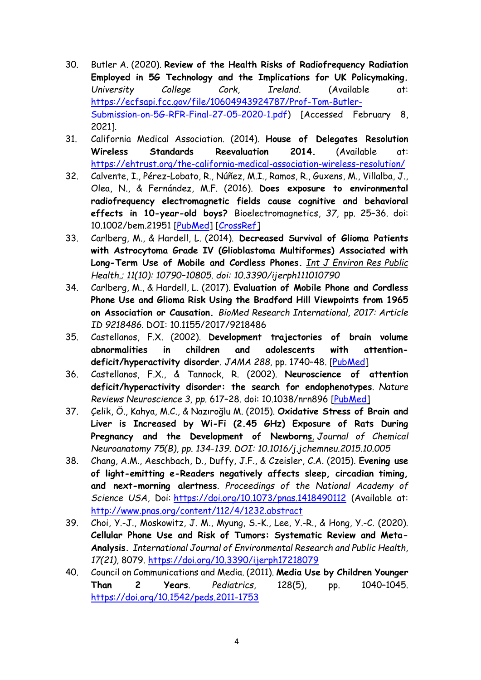- 30. Butler A. (2020). **Review of the Health Risks of Radiofrequency Radiation Employed in 5G Technology and the Implications for UK Policymaking.** *University College Cork, Ireland*. (Available at: [https://ecfsapi.fcc.gov/file/10604943924787/Prof-Tom-Butler-](https://ecfsapi.fcc.gov/file/10604943924787/Prof-Tom-Butler-Submission-on-5G-RFR-Final-27-05-2020-1.pdf)[Submission-on-5G-RFR-Final-27-05-2020-1.pdf\)](https://ecfsapi.fcc.gov/file/10604943924787/Prof-Tom-Butler-Submission-on-5G-RFR-Final-27-05-2020-1.pdf) [Accessed February 8, 2021].
- 31. California Medical Association. (2014). **House of Delegates Resolution Wireless Standards Reevaluation 2014.** (Available at: <https://ehtrust.org/the-california-medical-association-wireless-resolution/>
- 32. Calvente, I., Pérez-Lobato, R., Núñez, M.I., Ramos, R., Guxens, M., Villalba, J., Olea, N., & Fernández, M.F. (2016). **Does exposure to environmental radiofrequency electromagnetic fields cause cognitive and behavioral effects in 10-year-old boys?** Bioelectromagnetics, *37*, pp. 25–36. doi: 10.1002/bem.21951 [\[PubMed\]](https://www.ncbi.nlm.nih.gov/pubmed/26769168) [\[CrossRef\]](https://dx.doi.org/10.1002%2Fbem.21951)
- 33. Carlberg, M., & Hardell, L. (2014). **Decreased Survival of Glioma Patients with Astrocytoma Grade IV (Glioblastoma Multiformes) Associated with Long-Term Use of Mobile and Cordless Phones.** *[Int J Environ Res Public](https://www.ncbi.nlm.nih.gov/pmc/articles/PMC4211006/)  [Health.](https://www.ncbi.nlm.nih.gov/pmc/articles/PMC4211006/); 11(10): 10790–10805. doi: [10.3390/ijerph111010790](https://dx.doi.org/10.3390%2Fijerph111010790)*
- 34. Carlberg, M., & Hardell, L. (2017). **[Evaluation of Mobile Phone and Cordless](https://www.ncbi.nlm.nih.gov/pubmed/28401165)  [Phone Use and Glioma Risk Using the Bradford Hill Viewpoints from 1965](https://www.ncbi.nlm.nih.gov/pubmed/28401165)  [on Association or Causation.](https://www.ncbi.nlm.nih.gov/pubmed/28401165)** *BioMed Research International, 2017: Article ID 9218486.* DOI: 10.1155/2017/9218486
- 35. Castellanos, F.X. (2002). **Development trajectories of brain volume abnormalities in children and adolescents with attentiondeficit/hyperactivity disorder***. JAMA 288,* pp. 1740–48. [\[PubMed\]](https://www.ncbi.nlm.nih.gov/pubmed/12365958)
- 36. Castellanos, F.X., & Tannock, R. (2002). **Neuroscience of attention deficit/hyperactivity disorder: the search for endophenotypes**. *Nature Reviews Neuroscience 3, pp.* 617–28. doi: 10.1038/nrn896 [\[PubMed\]](https://www.ncbi.nlm.nih.gov/pubmed/12154363)
- 37. Çelik, Ö., Kahya, M.C., & Nazıroğlu M. (2015). **[Oxidative Stress of Brain and](http://www.ncbi.nlm.nih.gov/pubmed/26520617)  [Liver is Increased by Wi-Fi \(2.45 GHz\) Exposure of Rats During](http://www.ncbi.nlm.nih.gov/pubmed/26520617)  [Pregnancy and the Development of Newborns](http://www.ncbi.nlm.nih.gov/pubmed/26520617)**. *Journal of Chemical Neuroanatomy 75(B), pp. 134-139. DOI: 10.1016/j.jchemneu.2015.10.005*
- 38. Chang, A.M., Aeschbach, D., Duffy, J.F., & Czeisler, C.A. (2015). **Evening use of light-emitting e-Readers negatively affects sleep, circadian timing, and next-morning alertness**. *Proceedings of the National Academy of Science USA*, Doi: <https://doi.org/10.1073/pnas.1418490112> (Available at: <http://www.pnas.org/content/112/4/1232.abstract>
- 39. Choi, Y.-J., Moskowitz, J. M., Myung, S.-K., Lee, Y.-R., & Hong, Y.-C. (2020). **Cellular Phone Use and Risk of Tumors: Systematic Review and Meta-Analysis.** *International Journal of Environmental Research and Public Health, 17(21),* 8079.<https://doi.org/10.3390/ijerph17218079>
- 40. Council on Communications and Media. (2011). **Media Use by Children Younger Than 2 Years**. *Pediatrics*, 128(5), pp. 1040–1045. <https://doi.org/10.1542/peds.2011-1753>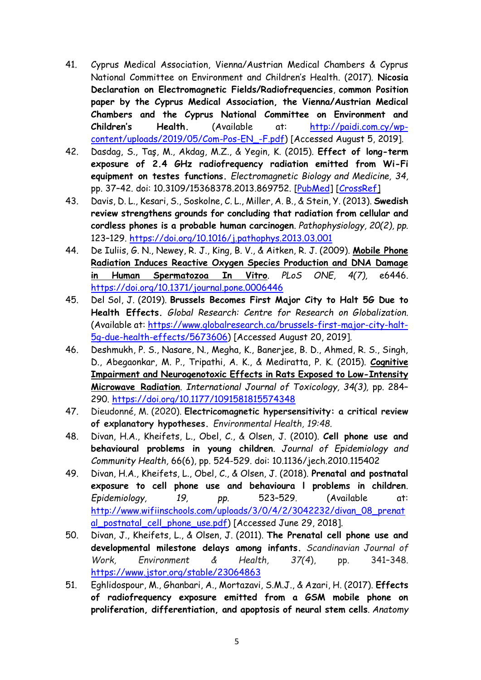- 41. Cyprus Medical Association, Vienna/Austrian Medical Chambers & Cyprus National Committee on Environment and Children's Health. (2017). **Nicosia Declaration on Electromagnetic Fields/Radiofrequencies**, **common Position paper by the Cyprus Medical Association, the Vienna/Austrian Medical Chambers and the Cyprus National Committee on Environment and Children's Health.** (Available at: [http://paidi.com.cy/wp](http://paidi.com.cy/wp-content/uploads/2019/05/Com-Pos-EN_-F.pdf)[content/uploads/2019/05/Com-Pos-EN\\_-F.pdf\)](http://paidi.com.cy/wp-content/uploads/2019/05/Com-Pos-EN_-F.pdf) [Accessed August 5, 2019].
- 42. Dasdag, S., Taş, M., Akdag, M.Z., & Yegin, K. (2015). **Effect of long-term exposure of 2.4 GHz radiofrequency radiation emitted from Wi-Fi equipment on testes functions.** *Electromagnetic Biology and Medicine, 34,* pp. 37–42. doi: 10.3109/15368378.2013.869752. [\[PubMed\]](https://www.ncbi.nlm.nih.gov/pubmed/24460421) [\[CrossRef\]](https://dx.doi.org/10.3109%2F15368378.2013.869752)
- 43. Davis, D. L., Kesari, S., Soskolne, C. L., Miller, A. B., & Stein, Y. (2013). **Swedish review strengthens grounds for concluding that radiation from cellular and cordless phones is a probable human carcinogen**. *Pathophysiology, 20(2), pp.* 123–129.<https://doi.org/10.1016/j.pathophys.2013.03.001>
- 44. De Iuliis, G. N., Newey, R. J., King, B. V., & Aitken, R. J. (2009). **[Mobile Phone](https://www.ncbi.nlm.nih.gov/pubmed/19649291)  [Radiation Induces Reactive Oxygen Species Production and DNA Damage](https://www.ncbi.nlm.nih.gov/pubmed/19649291)  [in Human Spermatozoa In Vitro](https://www.ncbi.nlm.nih.gov/pubmed/19649291)**. *PLoS ONE, 4(7),* e6446. <https://doi.org/10.1371/journal.pone.0006446>
- 45. Del Sol, J. (2019). **Brussels Becomes First Major City to Halt 5G Due to Health Effects.** *Global Research: Centre for Research on Globalization*. (Available at: [https://www.globalresearch.ca/brussels-first-major-city-halt-](https://www.globalresearch.ca/brussels-first-major-city-halt-5g-due-health-effects/5673606)[5g-due-health-effects/5673606\)](https://www.globalresearch.ca/brussels-first-major-city-halt-5g-due-health-effects/5673606) [Accessed August 20, 2019].
- 46. Deshmukh, P. S., Nasare, N., Megha, K., Banerjee, B. D., Ahmed, R. S., Singh, D., Abegaonkar, M. P., Tripathi, A. K., & Mediratta, P. K. (2015). **[Cognitive](https://www.ncbi.nlm.nih.gov/pubmed/25749756)  [Impairment and Neurogenotoxic Effects in Rats Exposed to Low-Intensity](https://www.ncbi.nlm.nih.gov/pubmed/25749756)  [Microwave Radiation](https://www.ncbi.nlm.nih.gov/pubmed/25749756)**. *International Journal of Toxicology, 34(3),* pp. 284– 290.<https://doi.org/10.1177/1091581815574348>
- 47. Dieudonné, M. (2020). **Electricomagnetic hypersensitivity: a critical review of explanatory hypotheses.** *Environmental Health, 19:48.*
- 48. Divan, H.A., Kheifets, L., Obel, C., & Olsen, J. (2010). **Cell phone use and behavioural problems in young children**. *Journal of Epidemiology and Community Health,* 66(6), pp. 524-529. doi: 10.1136/jech.2010.115402
- 49. Divan, H.A., Kheifets, L., Obel, C., & Olsen, J. (2018). **Prenatal and postnatal exposure to cell phone use and behavioura l problems in children**. *Epidemiology, 19, pp.* 523–529. (Available at: [http://www.wifiinschools.com/uploads/3/0/4/2/3042232/divan\\_08\\_prenat](http://www.wifiinschools.com/uploads/3/0/4/2/3042232/divan_08_prenatal_postnatal_cell_phone_use.pdf) al postnatal cell phone use.pdf) [Accessed June 29, 2018].
- 50. Divan, J., Kheifets, L., & Olsen, J. (2011). **The Prenatal cell phone use and developmental milestone delays among infants.** *Scandinavian Journal of Work, Environment & Health, 37(4*), pp. 341–348. <https://www.jstor.org/stable/23064863>
- 51. Eghlidospour, M., Ghanbari, A., Mortazavi, S.M.J., & Azari, H. (2017). **Effects of radiofrequency exposure emitted from a GSM mobile phone on proliferation, differentiation, and apoptosis of neural stem cells**. *Anatomy*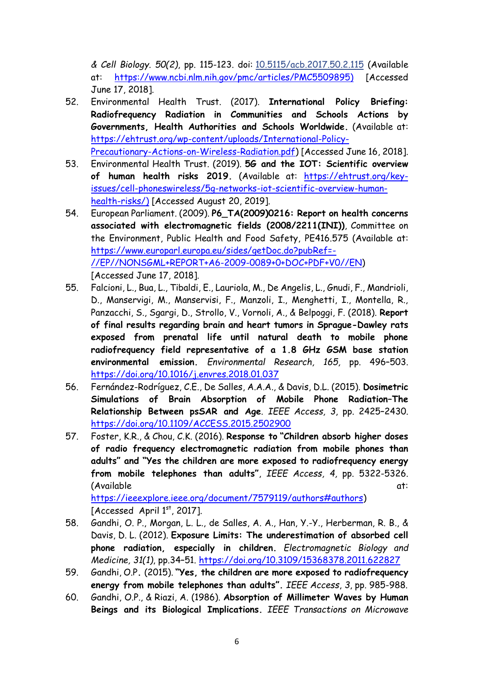*& Cell Biology. 50(2)*, pp. 115-123. doi: [10.5115/acb.2017.50.2.115](https://dx.doi.org/10.5115%2Facb.2017.50.2.115) (Available at: [https://www.ncbi.nlm.nih.gov/pmc/articles/PMC5509895\)](https://www.ncbi.nlm.nih.gov/pmc/articles/PMC5509895) [Accessed June 17, 2018].

- 52. Environmental Health Trust. (2017). **International Policy Briefing: Radiofrequency Radiation in Communities and Schools Actions by Governments, Health Authorities and Schools Worldwide.** (Available at: [https://ehtrust.org/wp-content/uploads/International-Policy-](https://ehtrust.org/wp-content/uploads/International-Policy-Precautionary-Actions-on-Wireless-Radiation.pdf)[Precautionary-Actions-on-Wireless-Radiation.pdf\)](https://ehtrust.org/wp-content/uploads/International-Policy-Precautionary-Actions-on-Wireless-Radiation.pdf) [Accessed June 16, 2018].
- 53. Environmental Health Trust. (2019). **5G and the IOT: Scientific overview of human health risks 2019.** (Available at: [https://ehtrust.org/key](https://ehtrust.org/key-issues/cell-phoneswireless/5g-networks-iot-scientific-overview-human-health-risks/)[issues/cell-phoneswireless/5g-networks-iot-scientific-overview-human](https://ehtrust.org/key-issues/cell-phoneswireless/5g-networks-iot-scientific-overview-human-health-risks/)[health-risks/\)](https://ehtrust.org/key-issues/cell-phoneswireless/5g-networks-iot-scientific-overview-human-health-risks/) [Accessed August 20, 2019].
- 54. European Parliament. (2009). **P6\_TA(2009)0216: Report on health concerns associated with electromagnetic fields (2008/2211(INI))**, Committee on the Environment, Public Health and Food Safety, PE416.575 (Available at: [https://www.europarl.europa.eu/sides/getDoc.do?pubRef=-](https://www.europarl.europa.eu/sides/getDoc.do?pubRef=-//EP//NONSGML+REPORT+A6-2009-0089+0+DOC+PDF+V0//EN) [//EP//NONSGML+REPORT+A6-2009-0089+0+DOC+PDF+V0//EN\)](https://www.europarl.europa.eu/sides/getDoc.do?pubRef=-//EP//NONSGML+REPORT+A6-2009-0089+0+DOC+PDF+V0//EN) [Accessed June 17, 2018].
- 55. Falcioni, L., Bua, L., Tibaldi, E., Lauriola, M., De Angelis, L., Gnudi, F., Mandrioli, D., Manservigi, M., Manservisi, F., Manzoli, I., Menghetti, I., Montella, R., Panzacchi, S., Sgargi, D., Strollo, V., Vornoli, A., & Belpoggi, F. (2018). **Report of final results regarding brain and heart tumors in Sprague-Dawley rats exposed from prenatal life until natural death to mobile phone radiofrequency field representative of a 1.8 GHz GSM base station environmental emission.** *Environmental Research, 165,* pp. 496–503. <https://doi.org/10.1016/j.envres.2018.01.037>
- 56. Fernández-Rodríguez, C.E., De Salles, A.A.A., & Davis, D.L. (2015). **Dosimetric Simulations of Brain Absorption of Mobile Phone Radiation–The Relationship Between psSAR and Age**. *IEEE Access, 3*, pp. 2425–2430. <https://doi.org/10.1109/ACCESS.2015.2502900>
- 57. Foster, K.R., & Chou, C.K. (2016). **Response to "Children absorb higher doses of radio frequency electromagnetic radiation from mobile phones than adults" and "Yes the children are more exposed to radiofrequency energy from mobile telephones than adults"**, *IEEE Access, 4,* pp. 5322-5326. (Available at:  $\overline{a}$ )

[https://ieeexplore.ieee.org/document/7579119/authors#authors\)](https://ieeexplore.ieee.org/document/7579119/authors#authors) [Accessed April  $1<sup>st</sup>$ , 2017].

- 58. Gandhi, O. P., Morgan, L. L., de Salles, A. A., Han, Y.-Y., Herberman, R. B., & Davis, D. L. (2012). **Exposure Limits: The underestimation of absorbed cell phone radiation, especially in children.** *Electromagnetic Biology and Medicine, 31(1)*, pp.34–51.<https://doi.org/10.3109/15368378.2011.622827>
- 59. Gandhi, O.P**.** (2015). **"Yes, the children are more exposed to radiofrequency energy from mobile telephones than adults".** *IEEE Access*, *3*, pp. 985-988.
- 60. Gandhi, O.P., & Riazi, A. (1986). **Absorption of Millimeter Waves by Human Beings and its Biological Implications.** *IEEE Transactions on Microwave*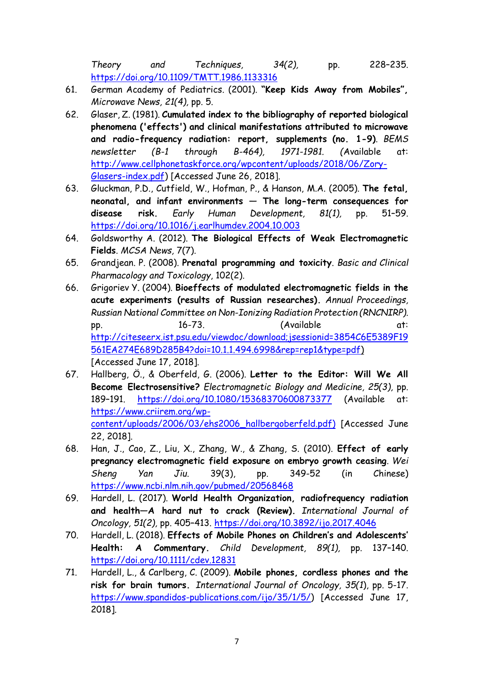*Theory and Techniques, 34(2),* pp. 228–235. <https://doi.org/10.1109/TMTT.1986.1133316>

- 61. German Academy of Pediatrics. (2001). **"Keep Kids Away from Mobiles",** *Microwave News, 21(4),* pp. 5.
- 62. Glaser, Z. (1981). **Cumulated index to the bibliography of reported biological phenomena ('effects') and clinical manifestations attributed to microwave and radio-frequency radiation: report, supplements (no. 1-9)**. *BEMS newsletter (B-1 through B-464), 1971-1981. (*Available at: [http://www.cellphonetaskforce.org/wpcontent/uploads/2018/06/Zory-](http://www.cellphonetaskforce.org/wpcontent/uploads/2018/06/Zory-Glasers-index.pdf)[Glasers-index.pdf\)](http://www.cellphonetaskforce.org/wpcontent/uploads/2018/06/Zory-Glasers-index.pdf) [Accessed June 26, 2018].
- 63. Gluckman, P.D., Cutfield, W., Hofman, P., & Hanson, M.A. (2005). **The fetal, neonatal, and infant environments — The long-term consequences for disease risk.** *Early Human Development, 81(1),* pp. 51–59. <https://doi.org/10.1016/j.earlhumdev.2004.10.003>
- 64. Goldsworthy A. (2012). **The Biological Effects of Weak Electromagnetic Fields**. *MCSA News,* 7(7).
- 65. Grandjean. P. (2008). **Prenatal programming and toxicity**. *Basic and Clinical Pharmacology and Toxicology*, 102(2).
- 66. Grigoriev Y. (2004). **Bioeffects of modulated electromagnetic fields in the acute experiments (results of Russian researches).** *Annual Proceedings, Russian National Committee on Non-Ionizing Radiation Protection (RNCNIRP).* pp. 16-73. (Available at: [http://citeseerx.ist.psu.edu/viewdoc/download;jsessionid=3854C6E5389F19](http://citeseerx.ist.psu.edu/viewdoc/download;jsessionid=3854C6E5389F19561EA274E689D285B4?doi=10.1.1.494.6998&rep=rep1&type=pdf) [561EA274E689D285B4?doi=10.1.1.494.6998&rep=rep1&type=pdf\)](http://citeseerx.ist.psu.edu/viewdoc/download;jsessionid=3854C6E5389F19561EA274E689D285B4?doi=10.1.1.494.6998&rep=rep1&type=pdf) [Accessed June 17, 2018].
- 67. Hallberg, Ö., & Oberfeld, G. (2006). **Letter to the Editor: Will We All Become Electrosensitive?** *Electromagnetic Biology and Medicine, 25(3),* pp. 189–191. <https://doi.org/10.1080/15368370600873377> (Available at: [https://www.criirem.org/wp](https://www.criirem.org/wp-content/uploads/2006/03/ehs2006_hallbergoberfeld.pdf)[content/uploads/2006/03/ehs2006\\_hallbergoberfeld.pdf\)](https://www.criirem.org/wp-content/uploads/2006/03/ehs2006_hallbergoberfeld.pdf) [Accessed June 22, 2018].
- 68. Han, J., Cao, Z., Liu, X., Zhang, W., & Zhang, S. (2010). **Effect of early pregnancy electromagnetic field exposure on embryo growth ceasing**. *Wei Sheng Yan Jiu*. 39(3), pp. 349-52 (in Chinese) <https://www.ncbi.nlm.nih.gov/pubmed/20568468>
- 69. Hardell, L. (2017). **World Health Organization, radiofrequency radiation and health—A hard nut to crack (Review).** *International Journal of Oncology, 51(2),* pp. 405–413.<https://doi.org/10.3892/ijo.2017.4046>
- 70. Hardell, L. (2018). **Effects of Mobile Phones on Children's and Adolescents' Health: A Commentary.** *Child Development, 89(1),* pp. 137–140. <https://doi.org/10.1111/cdev.12831>
- 71. Hardell, L., & Carlberg, C. (2009). **Mobile phones, cordless phones and the risk for brain tumors.** *International Journal of Oncology, 35(1*), pp. 5-17. [https://www.spandidos-publications.com/ijo/35/1/5/\)](https://www.spandidos-publications.com/ijo/35/1/5/) [Accessed June 17, 2018].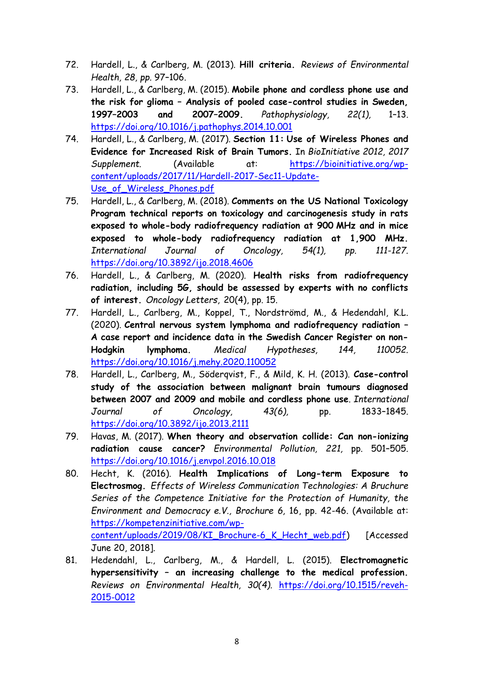- 72. Hardell, L., & Carlberg, M. (2013). **Hill criteria.** *Reviews of Environmental Health, 28, pp.* 97–106.
- 73. Hardell, L., & Carlberg, M. (2015). **Mobile phone and cordless phone use and the risk for glioma – Analysis of pooled case-control studies in Sweden, 1997–2003 and 2007–2009.** *Pathophysiology, 22(1),* 1–13. <https://doi.org/10.1016/j.pathophys.2014.10.001>
- 74. Hardell, L., & Carlberg, M. (2017). **Section 11: Use of Wireless Phones and Evidence for Increased Risk of Brain Tumors.** In *BioInitiative 2012, 2017 Supplement.* (Available at: [https://bioinitiative.org/wp](https://bioinitiative.org/wp-content/uploads/2017/11/Hardell-2017-Sec11-Update-Use_of_Wireless_Phones.pdf)[content/uploads/2017/11/Hardell-2017-Sec11-Update-](https://bioinitiative.org/wp-content/uploads/2017/11/Hardell-2017-Sec11-Update-Use_of_Wireless_Phones.pdf)[Use\\_of\\_Wireless\\_Phones.pdf](https://bioinitiative.org/wp-content/uploads/2017/11/Hardell-2017-Sec11-Update-Use_of_Wireless_Phones.pdf)
- 75. Hardell, L., & Carlberg, M. (2018). **Comments on the US National Toxicology Program technical reports on toxicology and carcinogenesis study in rats exposed to whole-body radiofrequency radiation at 900 MHz and in mice exposed to whole-body radiofrequency radiation at 1,900 MHz.** *International Journal of Oncology, 54(1), pp. 111-127.*  <https://doi.org/10.3892/ijo.2018.4606>
- 76. Hardell, L., & Carlberg, M. (2020). **Health risks from radiofrequency radiation, including 5G, should be assessed by experts with no conflicts of interest.** *Oncology Letters,* 20(4), pp. 15.
- 77. Hardell, L., Carlberg, M., Koppel, T., Nordströmd, M., & Hedendahl, K.L. (2020). **Central nervous system lymphoma and radiofrequency radiation – A case report and incidence data in the Swedish Cancer Register on non-Hodgkin lymphoma.** *Medical Hypotheses, 144, 110052.*  <https://doi.org/10.1016/j.mehy.2020.110052>
- 78. Hardell, L., Carlberg, M., Söderqvist, F., & Mild, K. H. (2013). **Case-control study of the association between malignant brain tumours diagnosed between 2007 and 2009 and mobile and cordless phone use**. *International Journal of Oncology, 43(6),* pp. 1833–1845. <https://doi.org/10.3892/ijo.2013.2111>
- 79. Havas, M. (2017). **When theory and observation collide: Can non-ionizing radiation cause cancer?** *Environmental Pollution, 221,* pp. 501–505. <https://doi.org/10.1016/j.envpol.2016.10.018>
- 80. Hecht, K. (2016). **Health Implications of Long-term Exposure to Electrosmog.** *Effects of Wireless Communication Technologies: A Bruchure Series of the Competence Initiative for the Protection of Humanity, the Environment and Democracy e.V., Brochure 6,* 16, pp. 42-46. (Available at: [https://kompetenzinitiative.com/wp](https://kompetenzinitiative.com/wp-content/uploads/2019/08/KI_Brochure-6_K_Hecht_web.pdf)[content/uploads/2019/08/KI\\_Brochure-6\\_K\\_Hecht\\_web.pdf\)](https://kompetenzinitiative.com/wp-content/uploads/2019/08/KI_Brochure-6_K_Hecht_web.pdf) [Accessed June 20, 2018].
- 81. Hedendahl, L., Carlberg, M., & Hardell, L. (2015). **Electromagnetic hypersensitivity – an increasing challenge to the medical profession.** *Reviews on Environmental Health, 30(4).* [https://doi.org/10.1515/reveh-](https://doi.org/10.1515/reveh-2015-0012)[2015-0012](https://doi.org/10.1515/reveh-2015-0012)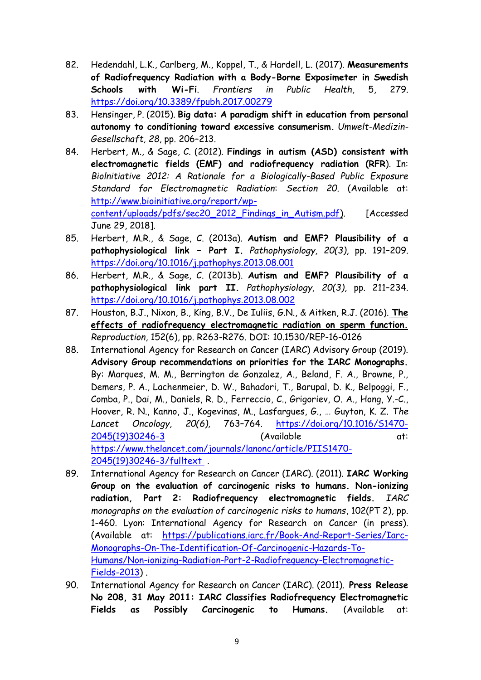- 82. Hedendahl, L.K., Carlberg, M., Koppel, T., & Hardell, L. (2017). **Measurements of Radiofrequency Radiation with a Body-Borne Exposimeter in Swedish Schools with Wi-Fi**. *Frontiers in Public Health,* 5, 279. <https://doi.org/10.3389/fpubh.2017.00279>
- 83. Hensinger, P. (2015). **Big data: A paradigm shift in education from personal autonomy to conditioning toward excessive consumerism.** *Umwelt-Medizin-Gesellschaft, 28*, pp. 206–213.
- 84. Herbert, M., & Sage, C. (2012). **Findings in autism (ASD) consistent with electromagnetic fields (EMF) and radiofrequency radiation (RFR**). In: *Biolnitiative 2012: A Rationale for a Biologically-Based Public Exposure Standard for Electromagnetic Radiation*: *Section 20*. (Available at: [http://www.bioinitiative.org/report/wp](http://www.bioinitiative.org/report/wp-content/uploads/pdfs/sec20_2012_Findings_in_Autism.pdf)[content/uploads/pdfs/sec20\\_2012\\_Findings\\_in\\_Autism.pdf\)](http://www.bioinitiative.org/report/wp-content/uploads/pdfs/sec20_2012_Findings_in_Autism.pdf). [Accessed June 29, 2018].
- 85. Herbert, M.R., & Sage, C. (2013a). **Autism and EMF? Plausibility of a pathophysiological link – Part I.** *Pathophysiology, 20(3),* pp. 191–209. <https://doi.org/10.1016/j.pathophys.2013.08.001>
- 86. Herbert, M.R., & Sage, C. (2013b). **Autism and EMF? Plausibility of a pathophysiological link part II.** *Pathophysiology, 20(3),* pp. 211–234. <https://doi.org/10.1016/j.pathophys.2013.08.002>
- 87. Houston, B.J., Nixon, B., King, B.V., De Iuliis, G.N., & Aitken, R.J. (2016). **[The](https://www.ncbi.nlm.nih.gov/pubmed/27601711)  [effects of radiofrequency electromagnetic radiation on sperm function.](https://www.ncbi.nlm.nih.gov/pubmed/27601711)** *Reproduction,* 152(6), pp. R263-R276. DOI: 10.1530/REP-16-0126
- 88. International Agency for Research on Cancer (IARC) Advisory Group (2019). **Advisory Group recommendations on priorities for the IARC Monographs.** By: Marques, M. M., Berrington de Gonzalez, A., Beland, F. A., Browne, P., Demers, P. A., Lachenmeier, D. W., Bahadori, T., Barupal, D. K., Belpoggi, F., Comba, P., Dai, M., Daniels, R. D., Ferreccio, C., Grigoriev, O. A., Hong, Y.-C., Hoover, R. N., Kanno, J., Kogevinas, M., Lasfargues, G., … Guyton, K. Z. *The Lancet Oncology, 20(6),* 763–764. [https://doi.org/10.1016/S1470-](https://doi.org/10.1016/S1470-2045(19)30246-3) [2045\(19\)30246-3](https://doi.org/10.1016/S1470-2045(19)30246-3) (Available at: [https://www.thelancet.com/journals/lanonc/article/PIIS1470-](https://www.thelancet.com/journals/lanonc/article/PIIS1470-2045(19)30246-3/fulltext) [2045\(19\)30246-3/fulltext](https://www.thelancet.com/journals/lanonc/article/PIIS1470-2045(19)30246-3/fulltext) .
- 89. International Agency for Research on Cancer (IARC). (2011). **IARC Working Group on the evaluation of carcinogenic risks to humans. Non-ionizing radiation, Part 2: Radiofrequency electromagnetic fields.** *IARC monographs on the evaluation of carcinogenic risks to humans*, 102(PT 2), pp. 1-460. Lyon: International Agency for Research on Cancer (in press). (Available at: [https://publications.iarc.fr/Book-And-Report-Series/Iarc-](https://publications.iarc.fr/Book-And-Report-Series/Iarc-Monographs-On-The-Identification-Of-Carcinogenic-Hazards-To-Humans/Non-ionizing-Radiation-Part-2-Radiofrequency-Electromagnetic-Fields-2013)[Monographs-On-The-Identification-Of-Carcinogenic-Hazards-To-](https://publications.iarc.fr/Book-And-Report-Series/Iarc-Monographs-On-The-Identification-Of-Carcinogenic-Hazards-To-Humans/Non-ionizing-Radiation-Part-2-Radiofrequency-Electromagnetic-Fields-2013)[Humans/Non-ionizing-Radiation-Part-2-Radiofrequency-Electromagnetic-](https://publications.iarc.fr/Book-And-Report-Series/Iarc-Monographs-On-The-Identification-Of-Carcinogenic-Hazards-To-Humans/Non-ionizing-Radiation-Part-2-Radiofrequency-Electromagnetic-Fields-2013)[Fields-2013\)](https://publications.iarc.fr/Book-And-Report-Series/Iarc-Monographs-On-The-Identification-Of-Carcinogenic-Hazards-To-Humans/Non-ionizing-Radiation-Part-2-Radiofrequency-Electromagnetic-Fields-2013) .
- 90. International Agency for Research on Cancer (IARC). (2011). **Press Release No 208, 31 May 2011: IARC Classifies Radiofrequency Electromagnetic Fields as Possibly Carcinogenic to Humans.** (Available at: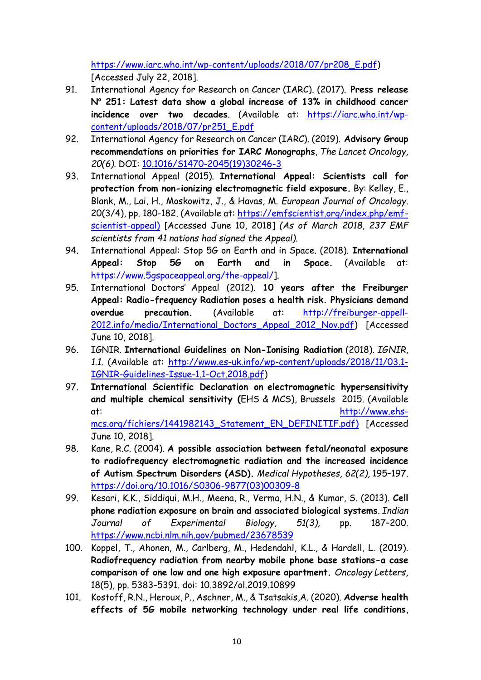[https://www.iarc.who.int/wp-content/uploads/2018/07/pr208\\_E.pdf\)](https://www.iarc.who.int/wp-content/uploads/2018/07/pr208_E.pdf) [Accessed July 22, 2018].

- 91. International Agency for Research on Cancer (IARC). (2017). **Press release N <sup>o</sup> 251: Latest data show a global increase of 13% in childhood cancer incidence over two decades**. (Available at: [https://iarc.who.int/wp](https://iarc.who.int/wp-content/uploads/2018/07/pr251_E.pdf)[content/uploads/2018/07/pr251\\_E.pdf](https://iarc.who.int/wp-content/uploads/2018/07/pr251_E.pdf)
- 92. International Agency for Research on Cancer (IARC). (2019). **Advisory Group recommendations on priorities for IARC Monographs**, *The Lancet Oncology, 20(6).* DOI: [10.1016/S1470-2045\(19\)30246-3](https://www.researchgate.net/deref/http%3A%2F%2Fdx.doi.org%2F10.1016%2FS1470-2045(19)30246-3)
- 93. International Appeal (2015). **International Appeal: Scientists call for protection from non-ionizing electromagnetic field exposure.** By: Kelley, E., Blank, M., Lai, H., Moskowitz, J., & Havas, M. *European Journal of Oncology*. 20(3/4), pp. 180-182. (Available at: [https://emfscientist.org/index.php/emf](https://emfscientist.org/index.php/emf-scientist-appeal)[scientist-appeal\)](https://emfscientist.org/index.php/emf-scientist-appeal) [Accessed June 10, 2018] *(As of March 2018, 237 EMF scientists from 41 nations had signed the Appeal).*
- 94. International Appeal: Stop 5G on Earth and in Space. (2018). **International Appeal: Stop 5G on Earth and in Space.** (Available at: [https://www.5gspaceappeal.org/the-appeal/\]](https://www.5gspaceappeal.org/the-appeal/).
- 95. International Doctors' Appeal (2012). **10 years after the Freiburger Appeal: Radio-frequency Radiation poses a health risk. Physicians demand overdue precaution.** (Available at: [http://freiburger-appell-](http://freiburger-appell-2012.info/media/International_Doctors_Appeal_2012_Nov.pdf)[2012.info/media/International\\_Doctors\\_Appeal\\_2012\\_Nov.pdf\)](http://freiburger-appell-2012.info/media/International_Doctors_Appeal_2012_Nov.pdf) [Accessed June 10, 2018].
- 96. IGNIR. **International Guidelines on Non-Ionising Radiation** (2018). *IGNIR, 1.1.* (Available at: [http://www.es-uk.info/wp-content/uploads/2018/11/03.1-](http://www.es-uk.info/wp-content/uploads/2018/11/03.1-IGNIR-Guidelines-Issue-1.1-Oct.2018.pdf) [IGNIR-Guidelines-Issue-1.1-Oct.2018.pdf\)](http://www.es-uk.info/wp-content/uploads/2018/11/03.1-IGNIR-Guidelines-Issue-1.1-Oct.2018.pdf)
- 97. **International Scientific Declaration on electromagnetic hypersensitivity and multiple chemical sensitivity (**EHS & MCS), Brussels 2015. (Available at: [http://www.ehs](http://www.ehs-mcs.org/fichiers/1441982143_Statement_EN_DEFINITIF.pdf)[mcs.org/fichiers/1441982143\\_Statement\\_EN\\_DEFINITIF.pdf\)](http://www.ehs-mcs.org/fichiers/1441982143_Statement_EN_DEFINITIF.pdf) [Accessed June 10, 2018].
- 98. Kane, R.C. (2004). **A possible association between fetal/neonatal exposure to radiofrequency electromagnetic radiation and the increased incidence of Autism Spectrum Disorders (ASD).** *Medical Hypotheses, 62(2),* 195–197. [https://doi.org/10.1016/S0306-9877\(03\)00309-8](https://doi.org/10.1016/S0306-9877(03)00309-8)
- 99. Kesari, K.K., Siddiqui, M.H., Meena, R., Verma, H.N., & Kumar, S. (2013). **Cell phone radiation exposure on brain and associated biological systems**. *Indian Journal of Experimental Biology, 51(3),* pp. 187–200. <https://www.ncbi.nlm.nih.gov/pubmed/23678539>
- 100. Koppel, T., Ahonen, M., Carlberg, M., Hedendahl, K.L., & Hardell, L. (2019). **Radiofrequency radiation from nearby mobile phone base stations-a case comparison of one low and one high exposure apartment.** *Oncology Letters,* 18(5), pp. 5383-5391. doi: 10.3892/ol.2019.10899
- 101. Kostoff, R.N., Heroux, P., Aschner, M., & Tsatsakis,A. (2020). **Adverse health effects of 5G mobile networking technology under real life conditions**,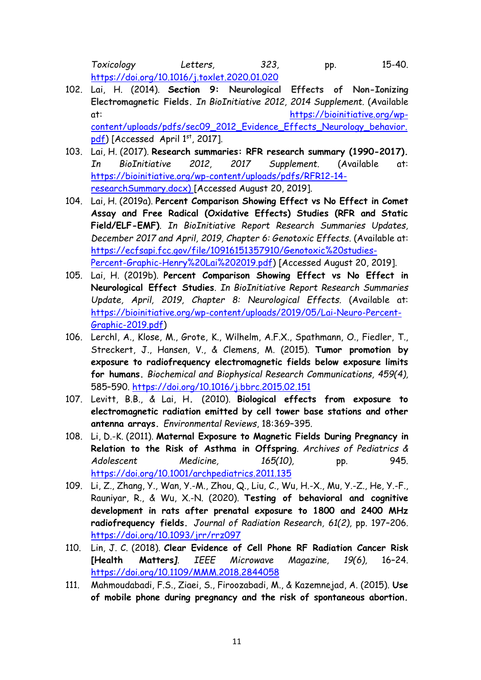*Toxicology Letters, 323,* pp. 15-40. <https://doi.org/10.1016/j.toxlet.2020.01.020>

- 102. Lai, H. (2014). **Section 9: Neurological Effects of Non-Ionizing Electromagnetic Fields.** *In BioInitiative 2012, 2014 Supplement.* (Available at: [https://bioinitiative.org/wp](https://bioinitiative.org/wp-content/uploads/pdfs/sec09_2012_Evidence_Effects_Neurology_behavior.pdf)[content/uploads/pdfs/sec09\\_2012\\_Evidence\\_Effects\\_Neurology\\_behavior.](https://bioinitiative.org/wp-content/uploads/pdfs/sec09_2012_Evidence_Effects_Neurology_behavior.pdf) [pdf\)](https://bioinitiative.org/wp-content/uploads/pdfs/sec09_2012_Evidence_Effects_Neurology_behavior.pdf) [Accessed April 1st, 2017].
- 103. Lai, H. (2017). **Research summaries: RFR research summary (1990-2017).** *In BioInitiative 2012, 2017 Supplement*. (Available at: [https://bioinitiative.org/wp-content/uploads/pdfs/RFR12-14](https://bioinitiative.org/wp-content/uploads/pdfs/RFR12-14-researchSummary.docx) [researchSummary.docx\)](https://bioinitiative.org/wp-content/uploads/pdfs/RFR12-14-researchSummary.docx) [Accessed August 20, 2019].
- 104. Lai, H. (2019a). **Percent Comparison Showing Effect vs No Effect in Comet Assay and Free Radical (Oxidative Effects) Studies (RFR and Static Field/ELF-EMF)**. *In BioInitiative Report Research Summaries Updates, December 2017 and April, 2019, Chapter 6: Genotoxic Effects*. (Available at: [https://ecfsapi.fcc.gov/file/10916151357910/Genotoxic%20studies-](https://ecfsapi.fcc.gov/file/10916151357910/Genotoxic%20studies-Percent-Graphic-Henry%20Lai%202019.pdf)[Percent-Graphic-Henry%20Lai%202019.pdf\)](https://ecfsapi.fcc.gov/file/10916151357910/Genotoxic%20studies-Percent-Graphic-Henry%20Lai%202019.pdf) [Accessed August 20, 2019].
- 105. Lai, H. (2019b). **Percent Comparison Showing Effect vs No Effect in Neurological Effect Studies**. *In BioInitiative Report Research Summaries Update, April, 2019, Chapter 8: Neurological Effects.* (Available at: [https://bioinitiative.org/wp-content/uploads/2019/05/Lai-Neuro-Percent-](https://bioinitiative.org/wp-content/uploads/2019/05/Lai-Neuro-Percent-Graphic-2019.pdf)[Graphic-2019.pdf\)](https://bioinitiative.org/wp-content/uploads/2019/05/Lai-Neuro-Percent-Graphic-2019.pdf)
- 106. Lerchl, A., Klose, M., Grote, K., Wilhelm, A.F.X., Spathmann, O., Fiedler, T., Streckert, J., Hansen, V., & Clemens, M. (2015). **Tumor promotion by exposure to radiofrequency electromagnetic fields below exposure limits for humans.** *Biochemical and Biophysical Research Communications, 459(4),*  585–590.<https://doi.org/10.1016/j.bbrc.2015.02.151>
- 107. Levitt, B.B., & Lai, H**.** (2010). **Biological effects from exposure to electromagnetic radiation emitted by cell tower base stations and other antenna arrays.** *Environmental Reviews*, 18:369–395.
- 108. Li, D.-K. (2011). **Maternal Exposure to Magnetic Fields During Pregnancy in Relation to the Risk of Asthma in Offspring**. *Archives of Pediatrics & Adolescent Medicine, 165(10),* pp. 945. <https://doi.org/10.1001/archpediatrics.2011.135>
- 109. Li, Z., Zhang, Y., Wan, Y.-M., Zhou, Q., Liu, C., Wu, H.-X., Mu, Y.-Z., He, Y.-F., Rauniyar, R., & Wu, X.-N. (2020). **Testing of behavioral and cognitive development in rats after prenatal exposure to 1800 and 2400 MHz radiofrequency fields.** *Journal of Radiation Research, 61(2),* pp. 197–206. <https://doi.org/10.1093/jrr/rrz097>
- 110. Lin, J. C. (2018). **Clear Evidence of Cell Phone RF Radiation Cancer Risk [Health Matters***]. IEEE Microwave Magazine, 19(6),* 16–24. <https://doi.org/10.1109/MMM.2018.2844058>
- 111. Mahmoudabadi, F.S., Ziaei, S., Firoozabadi, M., & Kazemnejad, A. (2015). **Use of mobile phone during pregnancy and the risk of spontaneous abortion.**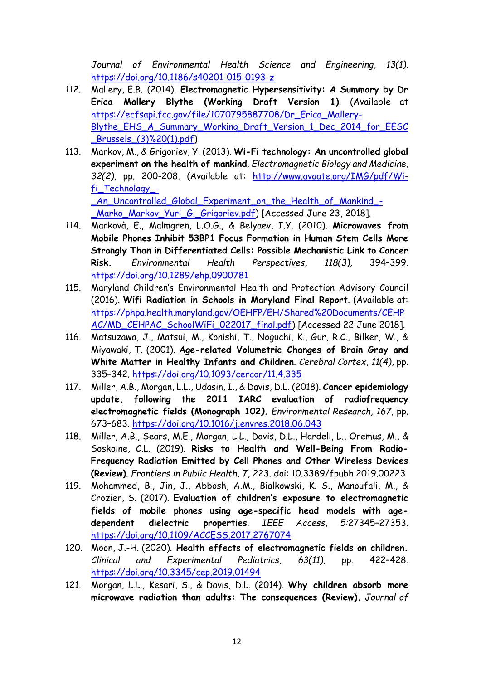*Journal of Environmental Health Science and Engineering, 13(1).*  <https://doi.org/10.1186/s40201-015-0193-z>

- 112. Mallery, E.B. (2014). **Electromagnetic Hypersensitivity: A Summary by Dr Erica Mallery Blythe (Working Draft Version 1)**. (Available at [https://ecfsapi.fcc.gov/file/1070795887708/Dr\\_Erica\\_Mallery-](https://ecfsapi.fcc.gov/file/1070795887708/Dr_Erica_Mallery-Blythe_EHS_A_Summary_Working_Draft_Version_1_Dec_2014_for_EESC_Brussels_(3)%20(1).pdf)[Blythe\\_EHS\\_A\\_Summary\\_Working\\_Draft\\_Version\\_1\\_Dec\\_2014\\_for\\_EESC](https://ecfsapi.fcc.gov/file/1070795887708/Dr_Erica_Mallery-Blythe_EHS_A_Summary_Working_Draft_Version_1_Dec_2014_for_EESC_Brussels_(3)%20(1).pdf) [\\_Brussels\\_\(3\)%20\(1\).pdf\)](https://ecfsapi.fcc.gov/file/1070795887708/Dr_Erica_Mallery-Blythe_EHS_A_Summary_Working_Draft_Version_1_Dec_2014_for_EESC_Brussels_(3)%20(1).pdf)
- 113. Markov, M., & Grigoriev, Y. (2013). **Wi-Fi technology: An uncontrolled global experiment on the health of mankind**. *Electromagnetic Biology and Medicine, 32(2),* pp. 200-208. (Available at: [http://www.avaate.org/IMG/pdf/Wi](http://www.avaate.org/IMG/pdf/Wi-fi_Technology_-_An_Uncontrolled_Global_Experiment_on_the_Health_of_Mankind_-_Marko_Markov_Yuri_G._Grigoriev.pdf)[fi\\_Technology\\_-](http://www.avaate.org/IMG/pdf/Wi-fi_Technology_-_An_Uncontrolled_Global_Experiment_on_the_Health_of_Mankind_-_Marko_Markov_Yuri_G._Grigoriev.pdf) [\\_An\\_Uncontrolled\\_Global\\_Experiment\\_on\\_the\\_Health\\_of\\_Mankind\\_-](http://www.avaate.org/IMG/pdf/Wi-fi_Technology_-_An_Uncontrolled_Global_Experiment_on_the_Health_of_Mankind_-_Marko_Markov_Yuri_G._Grigoriev.pdf)

[\\_Marko\\_Markov\\_Yuri\\_G.\\_Grigoriev.pdf\)](http://www.avaate.org/IMG/pdf/Wi-fi_Technology_-_An_Uncontrolled_Global_Experiment_on_the_Health_of_Mankind_-_Marko_Markov_Yuri_G._Grigoriev.pdf) [Accessed June 23, 2018].

- 114. Markovà, E., Malmgren, L.O.G., & Belyaev, I.Y. (2010). **Microwaves from Mobile Phones Inhibit 53BP1 Focus Formation in Human Stem Cells More Strongly Than in Differentiated Cells: Possible Mechanistic Link to Cancer Risk.** *Environmental Health Perspectives, 118(3),* 394–399. <https://doi.org/10.1289/ehp.0900781>
- 115. Maryland Children's Environmental Health and Protection Advisory Council (2016). **Wifi Radiation in Schools in Maryland Final Report**. (Available at: [https://phpa.health.maryland.gov/OEHFP/EH/Shared%20Documents/CEHP](https://phpa.health.maryland.gov/OEHFP/EH/Shared%20Documents/CEHPAC/MD_CEHPAC_SchoolWiFi_022017_final.pdf) [AC/MD\\_CEHPAC\\_SchoolWiFi\\_022017\\_final.pdf\)](https://phpa.health.maryland.gov/OEHFP/EH/Shared%20Documents/CEHPAC/MD_CEHPAC_SchoolWiFi_022017_final.pdf) [Accessed 22 June 2018].
- 116. Matsuzawa, J., Matsui, M., Konishi, T., Noguchi, K., Gur, R.C., Bilker, W., & Miyawaki, T. (2001). **Age-related Volumetric Changes of Brain Gray and White Matter in Healthy Infants and Children**. *Cerebral Cortex, 11(4)*, pp. 335–342.<https://doi.org/10.1093/cercor/11.4.335>
- 117. Miller, A.B., Morgan, L.L., Udasin, I., & Davis, D.L. (2018). **Cancer epidemiology update, following the 2011 IARC evaluation of radiofrequency electromagnetic fields (Monograph 102***). Environmental Research, 167,* pp. 673–683.<https://doi.org/10.1016/j.envres.2018.06.043>
- 118. Miller, A.B., Sears, M.E., Morgan, L.L., Davis, D.L., Hardell, L., Oremus, M., & Soskolne, C.L. (2019). **Risks to Health and Well-Being From Radio-Frequency Radiation Emitted by Cell Phones and Other Wireless Devices (Review)**. *Frontiers in Public Health,* 7, 223. doi: 10.3389/fpubh.2019.00223
- 119. Mohammed, B., Jin, J., Abbosh, A.M., Bialkowski, K. S., Manoufali, M., & Crozier, S. (2017). **Evaluation of children's exposure to electromagnetic fields of mobile phones using age-specific head models with agedependent dielectric properties**. *IEEE Access*, *5:*27345–27353. <https://doi.org/10.1109/ACCESS.2017.2767074>
- 120. Moon, J.-H. (2020). **Health effects of electromagnetic fields on children.**  *Clinical and Experimental Pediatrics, 63(11),* pp. 422–428. <https://doi.org/10.3345/cep.2019.01494>
- 121. Morgan, L.L., Kesari, S., & Davis, D.L. (2014). **Why children absorb more microwave radiation than adults: The consequences (Review).** *Journal of*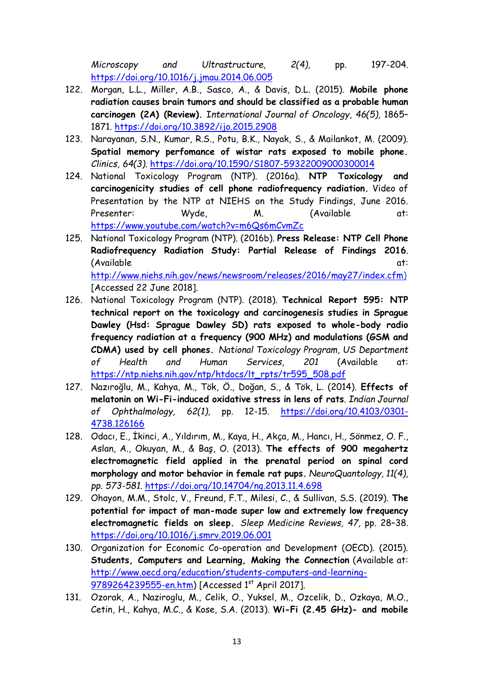*Microscopy and Ultrastructure, 2(4),* pp. 197-204. <https://doi.org/10.1016/j.jmau.2014.06.005>

- 122. Morgan, L.L., Miller, A.B., Sasco, A., & Davis, D.L. (2015). **Mobile phone radiation causes brain tumors and should be classified as a probable human carcinogen (2A) (Review).** I*nternational Journal of Oncology, 46(5),* 1865– 1871.<https://doi.org/10.3892/ijo.2015.2908>
- 123. Narayanan, S.N., Kumar, R.S., Potu, B.K., Nayak, S., & Mailankot, M. (2009). **Spatial memory perfomance of wistar rats exposed to mobile phone.** *Clinics, 64(3).* <https://doi.org/10.1590/S1807-59322009000300014>
- 124. National Toxicology Program (NTP). (2016a). **NTP Toxicology and carcinogenicity studies of cell phone radiofrequency radiation.** Video of Presentation by the NTP at NIEHS on the Study Findings, June 2016. Presenter: Wyde, M. (Available at: <https://www.youtube.com/watch?v=m6Qs6mCvmZc>
- 125. National Toxicology Program (NTP). (2016b). **Press Release: NTP Cell Phone Radiofrequency Radiation Study: Partial Release of Findings 2016**. (Available at: [http://www.niehs.nih.gov/news/newsroom/releases/2016/may27/index.cfm\)](http://www.niehs.nih.gov/news/newsroom/releases/2016/may27/index.cfm) [Accessed 22 June 2018].
- 126. National Toxicology Program (NTP). (2018). **Technical Report 595: NTP technical report on the toxicology and carcinogenesis studies in Sprague Dawley (Hsd: Sprague Dawley SD) rats exposed to whole-body radio frequency radiation at a frequency (900 MHz) and modulations (GSM and CDMA) used by cell phones.** *National Toxicology Program, US Department of Health and Human Services, 201* (Available at: [https://ntp.niehs.nih.gov/ntp/htdocs/lt\\_rpts/tr595\\_508.pdf](https://ntp.niehs.nih.gov/ntp/htdocs/lt_rpts/tr595_508.pdf)
- 127. Nazıroğlu, M., Kahya, M., Tök, Ö., Doğan, S., & Tök, L. (2014). **Effects of melatonin on Wi-Fi-induced oxidative stress in lens of rats**. *Indian Journal of Ophthalmology, 62(1),* pp. 12-15. [https://doi.org/10.4103/0301-](https://doi.org/10.4103/0301-4738.126166) [4738.126166](https://doi.org/10.4103/0301-4738.126166)
- 128. Odacı, E., İkinci, A., Yıldırım, M., Kaya, H., Akça, M., Hancı, H., Sönmez, O. F., Aslan, A., Okuyan, M., & Baş, O. (2013). **The effects of 900 megahertz electromagnetic field applied in the prenatal period on spinal cord morphology and motor behavior in female rat pups.** *NeuroQuantology, 11(4), pp. 573-581.* <https://doi.org/10.14704/nq.2013.11.4.698>
- 129. Ohayon, M.M., Stolc, V., Freund, F.T., Milesi, C., & Sullivan, S.S. (2019). **The potential for impact of man-made super low and extremely low frequency electromagnetic fields on sleep.** *Sleep Medicine Reviews, 47,* pp. 28–38. <https://doi.org/10.1016/j.smrv.2019.06.001>
- 130. Organization for Economic Co-operation and Development (OECD). (2015). **Students, Computers and Learning, Making the Connection** (Available at: [http://www.oecd.org/education/students-computers-and-learning-](http://www.oecd.org/education/students-computers-and-learning-9789264239555-en.htm)[9789264239555-en.htm\)](http://www.oecd.org/education/students-computers-and-learning-9789264239555-en.htm) [Accessed 1st April 2017].
- 131. Ozorak, A., Naziroglu, M., Celik, O., Yuksel, M., Ozcelik, D., Ozkaya, M.O., Cetin, H., Kahya, M.C., & Kose, S.A. (2013). **Wi-Fi (2.45 GHz)- and mobile**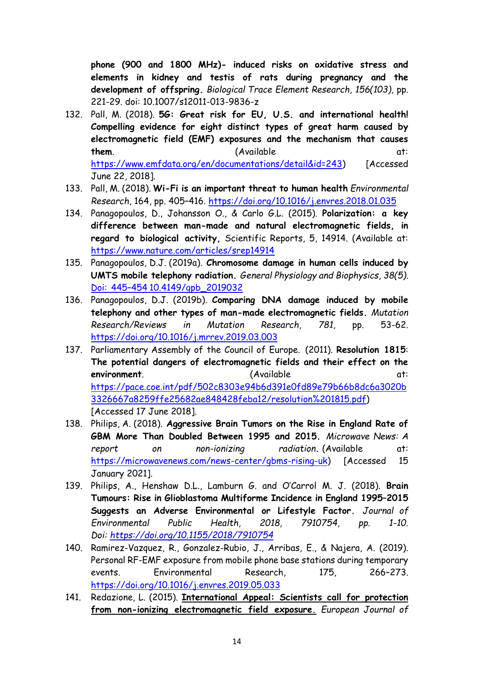**phone (900 and 1800 MHz)- induced risks on oxidative stress and elements in kidney and testis of rats during pregnancy and the development of offspring.** *Biological Trace Element Research, 156(103),* pp. 221-29. doi: 10.1007/s12011-013-9836-z

- 132. Pall, M. (2018). **5G: Great risk for EU, U.S. and international health! Compelling evidence for eight distinct types of great harm caused by electromagnetic field (EMF) exposures and the mechanism that causes them** (Available at: [https://www.emfdata.org/en/documentations/detail&id=243\)](https://www.emfdata.org/en/documentations/detail&id=243) [Accessed June 22, 2018].
- 133. Pall, M. (2018). **Wi-Fi is an important threat to human health** *Environmental Research*, 164, pp. 405–416.<https://doi.org/10.1016/j.envres.2018.01.035>
- 134. Panagopoulos, D., Johansson O., & Carlo G.L. (2015). **Polarization: a key difference between man-made and natural electromagnetic fields, in regard to biological activity,** Scientific Reports, 5, 14914. (Available at: <https://www.nature.com/articles/srep14914>
- 135. Panagopoulos, D.J. (2019a). **Chromosome damage in human cells induced by UMTS mobile telephony radiation.** *General Physiology and Biophysics*, *38(5).* Doi: 445–454 [10.4149/gpb\\_2019032](https://pubmed.ncbi.nlm.nih.gov/31516130/)
- 136. Panagopoulos, D.J. (2019b). **Comparing DNA damage induced by mobile telephony and other types of man-made electromagnetic fields.** *Mutation Research/Reviews in Mutation Research*, *781*, pp. 53-62. <https://doi.org/10.1016/j.mrrev.2019.03.003>
- 137. Parliamentary Assembly of the Council of Europe. (2011). **Resolution 1815**: **The potential dangers of electromagnetic fields and their effect on the environment** (Available [https://pace.coe.int/pdf/502c8303e94b6d391e0fd89e79b66b8dc6a3020b](https://pace.coe.int/pdf/502c8303e94b6d391e0fd89e79b66b8dc6a3020b3326667a8259ffe25682ae848428feba12/resolution%201815.pdf) [3326667a8259ffe25682ae848428feba12/resolution%201815.pdf\)](https://pace.coe.int/pdf/502c8303e94b6d391e0fd89e79b66b8dc6a3020b3326667a8259ffe25682ae848428feba12/resolution%201815.pdf) [Accessed 17 June 2018].
- 138. Philips, A. (2018). **Aggressive Brain Tumors on the Rise in England Rate of GBM More Than Doubled Between 1995 and 2015.** *Microwave News: A report on non-ionizing radiation***.** (Available at: [https://microwavenews.com/news-center/gbms-rising-uk\)](https://microwavenews.com/news-center/gbms-rising-uk) [Accessed 15 January 2021].
- 139. Philips, A., Henshaw D.L., Lamburn G. and O'Carrol M. J. (2018). **Brain Tumours: Rise in Glioblastoma Multiforme Incidence in England 1995–2015 Suggests an Adverse Environmental or Lifestyle Factor***. Journal of Environmental Public Health, 2018, 7910754, pp. 1-10. Doi: <https://doi.org/10.1155/2018/7910754>*
- 140. Ramirez-Vazquez, R., Gonzalez-Rubio, J., Arribas, E., & Najera, A. (2019). Personal RF-EMF exposure from mobile phone base stations during temporary events. Environmental Research, 175, 266–273. <https://doi.org/10.1016/j.envres.2019.05.033>
- 141. Redazione, L. (2015). **[International Appeal: Scientists call for protection](https://emfscientist.org/images/docs/International-EMF-Scientist-Appeal-2016.pdf)  [from non-ionizing electromagnetic field exposure.](https://emfscientist.org/images/docs/International-EMF-Scientist-Appeal-2016.pdf)** *European Journal of*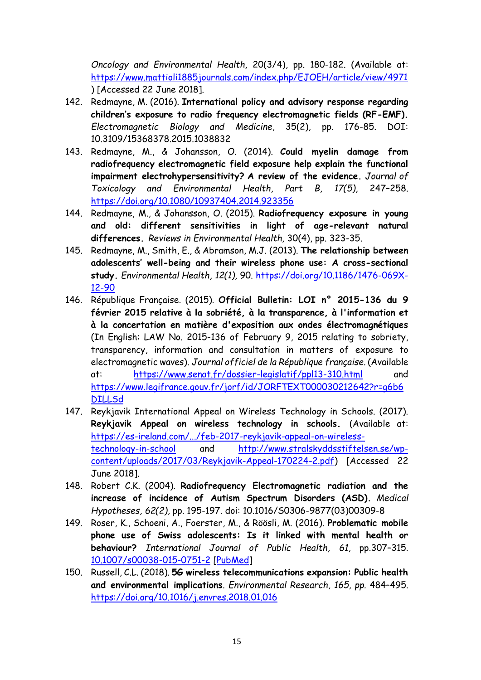*Oncology and Environmental Health,* 20(3/4), pp. 180-182. (Available at: <https://www.mattioli1885journals.com/index.php/EJOEH/article/view/4971> ) [Accessed 22 June 2018].

- 142. Redmayne, M. (2016). **International policy and advisory response regarding children's exposure to radio frequency electromagnetic fields (RF-EMF).** *Electromagnetic Biology and Medicine,* 35(2), pp. 176-85. DOI: 10.3109/15368378.2015.1038832
- 143. Redmayne, M., & Johansson, O. (2014). **Could myelin damage from radiofrequency electromagnetic field exposure help explain the functional impairment electrohypersensitivity? A review of the evidence.** *Journal of Toxicology and Environmental Health, Part B, 17(5),* 247–258. <https://doi.org/10.1080/10937404.2014.923356>
- 144. Redmayne, M., & Johansson, O. (2015). **[Radiofrequency exposure in young](http://1.usa.gov/1PWOqlc)  [and old: different sensitivities in light of age-relevant](http://1.usa.gov/1PWOqlc) natural [differences.](http://1.usa.gov/1PWOqlc)** *Reviews in Environmental Health,* 30(4), pp. 323-35.
- 145. Redmayne, M., Smith, E., & Abramson, M.J. (2013). **The relationship between adolescents' well-being and their wireless phone use: A cross-sectional study.** *Environmental Health, 12(1),* 90. [https://doi.org/10.1186/1476-069X-](https://doi.org/10.1186/1476-069X-12-90)[12-90](https://doi.org/10.1186/1476-069X-12-90)
- 146. République Française. (2015). **Official Bulletin: LOI n° 2015-136 du 9 février 2015 relative à la sobriété, à la transparence, à l'information et à la concertation en matière d'exposition aux ondes électromagnétiques** (In English: LAW No. 2015-136 of February 9, 2015 relating to sobriety, transparency, information and consultation in matters of exposure to electromagnetic waves). *Journal officiel de la République française.* (Available at: <https://www.senat.fr/dossier-legislatif/ppl13-310.html> [https://www.legifrance.gouv.fr/jorf/id/JORFTEXT000030212642?r=g6b6](https://www.legifrance.gouv.fr/jorf/id/JORFTEXT000030212642?r=g6b6DILLSd) [DILLSd](https://www.legifrance.gouv.fr/jorf/id/JORFTEXT000030212642?r=g6b6DILLSd)
- 147. Reykjavik International Appeal on Wireless Technology in Schools. (2017). **Reykjavik Appeal on wireless technology in schools.** (Available at: [https://es-ireland.com/.../feb-2017-reykjavik-appeal-on-wireless](https://es-ireland.com/.../feb-2017-reykjavik-appeal-on-wireless-technology-in-school)[technology-in-school](https://es-ireland.com/.../feb-2017-reykjavik-appeal-on-wireless-technology-in-school) and [http://www.stralskyddsstiftelsen.se/wp](http://www.stralskyddsstiftelsen.se/wp-content/uploads/2017/03/Reykjavik-Appeal-170224-2.pdf)[content/uploads/2017/03/Reykjavik-Appeal-170224-2.pdf\)](http://www.stralskyddsstiftelsen.se/wp-content/uploads/2017/03/Reykjavik-Appeal-170224-2.pdf) [Accessed 22 June 2018].
- 148. Robert C.K. (2004). **Radiofrequency Electromagnetic radiation and the increase of incidence of Autism Spectrum Disorders (ASD).** *Medical Hypotheses, 62(2)*, pp. 195-197. doi: 10.1016/S0306-9877(03)00309-8
- 149. Roser, K., Schoeni, A., Foerster, M., & Röösli, M. (2016). **Problematic mobile phone use of Swiss adolescents: Is it linked with mental health or behaviour?** *International Journal of Public Health, 61,* pp.307–315. [10.1007/s00038-015-0751-2](https://doi.org/10.1007/s00038-015-0751-2) [\[PubMed\]](https://www.ncbi.nlm.nih.gov/pubmed/26450576)
- 150. Russell, C.L. (2018). **5G wireless telecommunications expansion: Public health and environmental implications**. *Environmental Research, 165, pp.* 484–495. <https://doi.org/10.1016/j.envres.2018.01.016>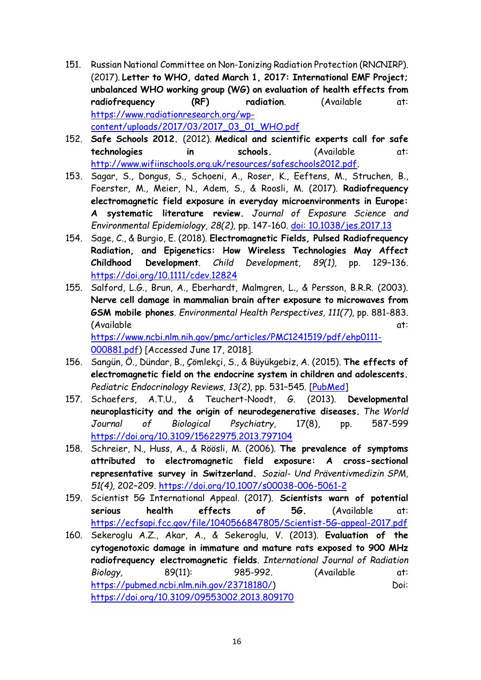- 151. Russian National Committee on Non-Ionizing Radiation Protection (RNCNIRP). (2017). **Letter to WHO, dated March 1, 2017: International EMF Project; unbalanced WHO working group (WG) on evaluation of health effects from**  radiofrequency (RF) radiation. (Available at: [https://www.radiationresearch.org/wp](https://www.radiationresearch.org/wp-content/uploads/2017/03/2017_03_01_WHO.pdf)[content/uploads/2017/03/2017\\_03\\_01\\_WHO.pdf](https://www.radiationresearch.org/wp-content/uploads/2017/03/2017_03_01_WHO.pdf)
- 152. **Safe Schools 2012.** (2012). **Medical and scientific experts call for safe technologies in schools.** (Available at: [http://www.wifiinschools.org.uk/resources/safeschools2012.pdf.](http://www.wifiinschools.org.uk/resources/safeschools2012.pdf)
- 153. Sagar, S., Dongus, S., Schoeni, A., Roser, K., Eeftens, M., Struchen, B., Foerster, M., Meier, N., Adem, S., & Roosli, M. (2017). **Radiofrequency electromagnetic field exposure in everyday microenvironments in Europe: A systematic literature review.** *Journal of Exposure Science and Environmental Epidemiology, 28(2),* pp. 147-160. [doi: 10.1038/jes.2017.13](https://doi.org/10.1038/jes.2017.13)
- 154. Sage, C., & Burgio, E. (2018). **Electromagnetic Fields, Pulsed Radiofrequency Radiation, and Epigenetics: How Wireless Technologies May Affect Childhood Development**. *Child Development, 89(1),* pp. 129–136. <https://doi.org/10.1111/cdev.12824>
- 155. Salford, L.G., Brun, A., Eberhardt, Malmgren, L., & Persson, B.R.R. (2003). **Nerve cell damage in mammalian brain after exposure to microwaves from GSM mobile phones**. *Environmental Health Perspectives, 111(7),* pp. 881-883. (Available at: [https://www.ncbi.nlm.nih.gov/pmc/articles/PMC1241519/pdf/ehp0111-](https://www.ncbi.nlm.nih.gov/pmc/articles/PMC1241519/pdf/ehp0111-000881.pdf) [000881.pdf\)](https://www.ncbi.nlm.nih.gov/pmc/articles/PMC1241519/pdf/ehp0111-000881.pdf) [Accessed June 17, 2018].
- 156. Sangün, Ö., Dündar, B., Çömlekçi, S., & Büyükgebiz, A. (2015). **The effects of electromagnetic field on the endocrine system in children and adolescents.** *Pediatric Endocrinology Reviews, 13(2)*, pp. 531–545. [\[PubMed\]](https://www.ncbi.nlm.nih.gov/pubmed/26841641)
- 157. Schaefers, A.T.U., & Teuchert-Noodt, G. (2013). **Developmental neuroplasticity and the origin of neurodegenerative diseases.** *The World Journal of Biological Psychiatry,* 17(8), pp. 587-599 <https://doi.org/10.3109/15622975.2013.797104>
- 158. Schreier, N., Huss, A., & Röösli, M. (2006). **The prevalence of symptoms attributed to electromagnetic field exposure: A cross-sectional representative survey in Switzerland.** *Sozial- Und Präventivmedizin SPM, 51(4),* 202–209.<https://doi.org/10.1007/s00038-006-5061-2>
- 159. Scientist 5G International Appeal. (2017). **Scientists warn of potential serious health effects of 5G.** (Available at: <https://ecfsapi.fcc.gov/file/1040566847805/Scientist-5G-appeal-2017.pdf>
- 160. Sekeroglu A.Z., Akar, A., & Sekeroglu, V. (2013). **Evaluation of the cytogenotoxic damage in immature and mature rats exposed to 900 MHz radiofrequency electromagnetic fields**. *International Journal of Radiation Biology,* 89(11): 985-992. (Available at: [https://pubmed.ncbi.nlm.nih.gov/23718180/\)](https://pubmed.ncbi.nlm.nih.gov/23718180/) Doi: <https://doi.org/10.3109/09553002.2013.809170>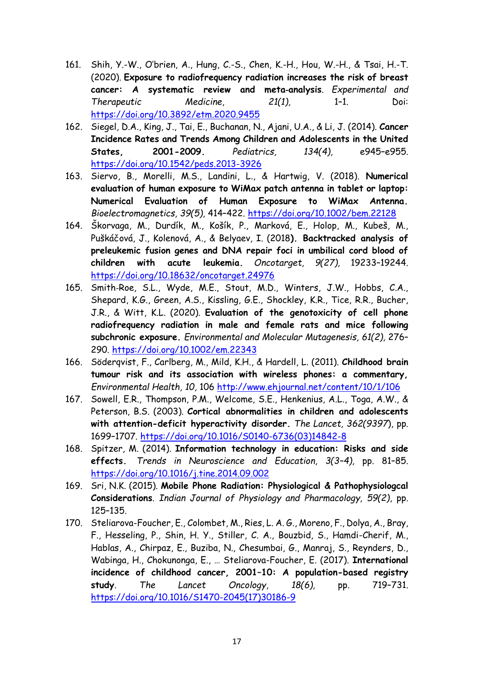- 161. Shih, Y.-W., O'brien, A., Hung, C.-S., Chen, K.-H., Hou, W.-H., & Tsai, H.-T. (2020). **Exposure to radiofrequency radiation increases the risk of breast cancer: A systematic review and meta‑analysis**. *Experimental and Therapeutic Medicine*, *21(1),* 1–1. Doi: <https://doi.org/10.3892/etm.2020.9455>
- 162. Siegel, D.A., King, J., Tai, E., Buchanan, N., Ajani, U.A., & Li, J. (2014). **Cancer Incidence Rates and Trends Among Children and Adolescents in the United States, 2001-2009.** *Pediatrics, 134(4),* e945–e955. <https://doi.org/10.1542/peds.2013-3926>
- 163. Siervo, B., Morelli, M.S., Landini, L., & Hartwig, V. (2018). **Numerical evaluation of human exposure to WiMax patch antenna in tablet or laptop: Numerical Evaluation of Human Exposure to WiMax Antenna.** *Bioelectromagnetics, 39(5),* 414–422.<https://doi.org/10.1002/bem.22128>
- 164. Škorvaga, M., Durdík, M., Košík, P., Marková, E., Holop, M., Kubeš, M., Puškáčová, J., Kolenová, A., & Belyaev, I. (2018**). Backtracked analysis of preleukemic fusion genes and DNA repair foci in umbilical cord blood of children with acute leukemia.** *Oncotarget, 9(27),* 19233–19244. <https://doi.org/10.18632/oncotarget.24976>
- 165. Smith‐Roe, S.L., Wyde, M.E., Stout, M.D., Winters, J.W., Hobbs, C.A., Shepard, K.G., Green, A.S., Kissling, G.E., Shockley, K.R., Tice, R.R., Bucher, J.R., & Witt, K.L. (2020). **Evaluation of the genotoxicity of cell phone radiofrequency radiation in male and female rats and mice following subchronic exposure.** *Environmental and Molecular Mutagenesis, 61(2),* 276– 290.<https://doi.org/10.1002/em.22343>
- 166. Söderqvist, F., Carlberg, M., Mild, K.H., & Ηardell, L. (2011). **Childhood brain tumour risk and its association with wireless phones: a commentary,**  *Environmental Health, 10,* 106 <http://www.ehjournal.net/content/10/1/106>
- 167. Sowell, E.R., Thompson, P.M., Welcome, S.E., Henkenius, A.L., Toga, A.W., & Peterson, B.S. (2003). **Cortical abnormalities in children and adolescents with attention-deficit hyperactivity disorder.** *The Lancet, 362(9397*), pp. 1699–1707. [https://doi.org/10.1016/S0140-6736\(03\)14842-8](https://doi.org/10.1016/S0140-6736(03)14842-8)
- 168. Spitzer, M. (2014). **Information technology in education: Risks and side effects.** *Trends in Neuroscience and Education, 3(3–4),* pp. 81–85. <https://doi.org/10.1016/j.tine.2014.09.002>
- 169. Sri, N.K. (2015). **Mobile Phone Radiation: Physiological & Pathophysiologcal Considerations**. *Indian Journal of Physiology and Pharmacology, 59(2)*, pp. 125–135.
- 170. Steliarova-Foucher, E., Colombet, M., Ries, L. A. G., Moreno, F., Dolya, A., Bray, F., Hesseling, P., Shin, H. Y., Stiller, C. A., Bouzbid, S., Hamdi-Cherif, M., Hablas, A., Chirpaz, E., Buziba, N., Chesumbai, G., Manraj, S., Reynders, D., Wabinga, H., Chokunonga, E., … Steliarova-Foucher, E. (2017). **International incidence of childhood cancer, 2001–10: A population-based registry study**. *The Lancet Oncology*, *18(6),* pp. 719–731. [https://doi.org/10.1016/S1470-2045\(17\)30186-9](https://doi.org/10.1016/S1470-2045(17)30186-9)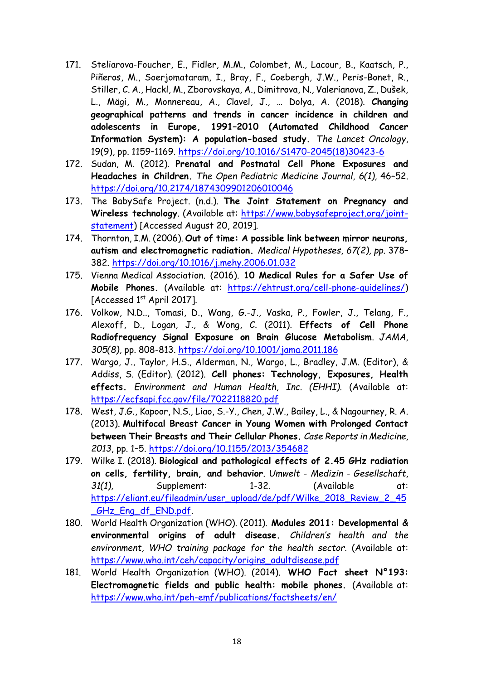- 171. Steliarova-Foucher, E., Fidler, M.M., Colombet, M., Lacour, B., Kaatsch, P., Piñeros, M., Soerjomataram, I., Bray, F., Coebergh, J.W., Peris-Bonet, R., Stiller, C. A., Hackl, M., Zborovskaya, A., Dimitrova, N., Valerianova, Z., Dušek, L., Mägi, M., Monnereau, A., Clavel, J., … Dolya, A. (2018). **Changing geographical patterns and trends in cancer incidence in children and adolescents in Europe, 1991–2010 (Automated Childhood Cancer Information System): A population-based study.** *The Lancet Oncology*, 19(9), pp. 1159–1169. [https://doi.org/10.1016/S1470-2045\(18\)30423-6](https://doi.org/10.1016/S1470-2045(18)30423-6)
- 172. Sudan, M. (2012). **Prenatal and Postnatal Cell Phone Exposures and Headaches in Children.** *The Open Pediatric Medicine Journal, 6(1),* 46–52. <https://doi.org/10.2174/1874309901206010046>
- 173. The BabySafe Project. (n.d.). **The Joint Statement on Pregnancy and Wireless technology**. (Available at: [https://www.babysafeproject.org/joint](https://www.babysafeproject.org/joint-statement)[statement\)](https://www.babysafeproject.org/joint-statement) [Accessed August 20, 2019].
- 174. Thornton, I.M. (2006). **Out of time: A possible link between mirror neurons, autism and electromagnetic radiation.** *Medical Hypotheses, 67(2), pp.* 378– 382.<https://doi.org/10.1016/j.mehy.2006.01.032>
- 175. Vienna Medical Association. (2016). **10 Medical Rules for a Safer Use of Mobile Phones.** (Available at: [https://ehtrust.org/cell-phone-guidelines/\)](https://ehtrust.org/cell-phone-guidelines/) [Accessed 1<sup>st</sup> April 2017].
- 176. Volkow, N.D.., Tomasi, D., Wang, G.-J., Vaska, P., Fowler, J., Telang, F., Alexoff, D., Logan, J., & Wong, C. (2011). **Effects of Cell Phone Radiofrequency Signal Exposure on Brain Glucose Metabolism**. *JAMA, 305(8),* pp. 808-813.<https://doi.org/10.1001/jama.2011.186>
- 177. Wargo, J., Taylor, H.S., Alderman, N., Wargo, L., Bradley, J.M. (Editor), & Addiss, S. (Editor). (2012). **Cell phones: Technology, Exposures, Health effects.** *Environment and Human Health, Inc. (EHHI).* (Available at: <https://ecfsapi.fcc.gov/file/7022118820.pdf>
- 178. West, J.G., Kapoor, N.S., Liao, S.-Y., Chen, J.W., Bailey, L., & Nagourney, R. A. (2013). **Multifocal Breast Cancer in Young Women with Prolonged Contact between Their Breasts and Their Cellular Phones.** *Case Reports in Medicine, 2013*, pp. 1–5.<https://doi.org/10.1155/2013/354682>
- 179. Wilke I. (2018). **[Biological and pathological effects of 2.45 GHz radiation](http://www.emfdata.org/en/studies/detail?id=439)  [on cells, fertility, brain, and behavior](http://www.emfdata.org/en/studies/detail?id=439)**. *Umwelt - Medizin - Gesellschaft, 31(1),* Supplement: 1-32. (Available at: [https://eliant.eu/fileadmin/user\\_upload/de/pdf/Wilke\\_2018\\_Review\\_2\\_45](https://eliant.eu/fileadmin/user_upload/de/pdf/Wilke_2018_Review_2_45_GHz_Eng_df_END.pdf) GHz Eng df END.pdf.
- 180. World Health Organization (WHO). (2011). **Modules 2011: Developmental & environmental origins of adult disease.** *Children's health and the environment, WHO training package for the health sector.* (Available at: [https://www.who.int/ceh/capacity/origins\\_adultdisease.pdf](https://www.who.int/ceh/capacity/origins_adultdisease.pdf)
- 181. World Health Organization (WHO). (2014). **WHO Fact sheet N°193: Electromagnetic fields and public health: mobile phones.** (Available at: <https://www.who.int/peh-emf/publications/factsheets/en/>